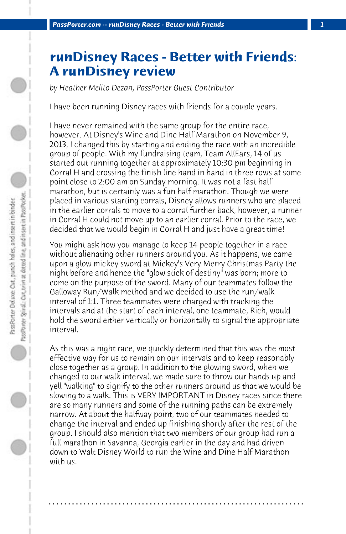## **runDisney Races - Better with Friends: A runDisney review**

*by Heather Melito Dezan, PassPorter Guest Contributor*

I have been running Disney races with friends for a couple years.

I have never remained with the same group for the entire race, however. At Disney's Wine and Dine Half Marathon on November 9, 2013, I changed this by starting and ending the race with an incredible group of people. With my fundraising team, Team AllEars, 14 of us started out running together at approximately 10:30 pm beginning in Corral H and crossing the finish line hand in hand in three rows at some point close to 2:00 am on Sunday morning. It was not a fast half marathon, but is certainly was a fun half marathon. Though we were placed in various starting corrals, Disney allows runners who are placed in the earlier corrals to move to a corral further back, however, a runner in Corral H could not move up to an earlier corral. Prior to the race, we decided that we would begin in Corral H and just have a great time!

You might ask how you manage to keep 14 people together in a race without alienating other runners around you. As it happens, we came upon a glow mickey sword at Mickey's Very Merry Christmas Party the night before and hence the "glow stick of destiny" was born; more to come on the purpose of the sword. Many of our teammates follow the Galloway Run/Walk method and we decided to use the run/walk interval of 1:1. Three teammates were charged with tracking the intervals and at the start of each interval, one teammate, Rich, would hold the sword either vertically or horizontally to signal the appropriate interval.

As this was a night race, we quickly determined that this was the most effective way for us to remain on our intervals and to keep reasonably close together as a group. In addition to the glowing sword, when we changed to our walk interval, we made sure to throw our hands up and yell "walking" to signify to the other runners around us that we would be slowing to a walk. This is VERY IMPORTANT in Disney races since there are so many runners and some of the running paths can be extremely narrow. At about the halfway point, two of our teammates needed to change the interval and ended up finishing shortly after the rest of the group. I should also mention that two members of our group had run a full marathon in Savanna, Georgia earlier in the day and had driven down to Walt Disney World to run the Wine and Dine Half Marathon with us.

**. . . . . . . . . . . . . . . . . . . . . . . . . . . . . . . . . . . . . . . . . . . . . . . . . . . . . . . . . . . . . . . . . .**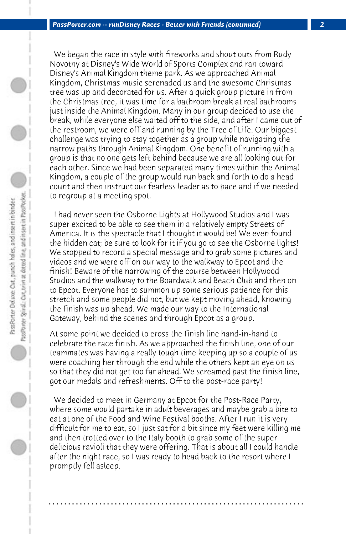We began the race in style with fireworks and shout outs from Rudy Novotny at Disney's Wide World of Sports Complex and ran toward Disney's Animal Kingdom theme park. As we approached Animal Kingdom, Christmas music serenaded us and the awesome Christmas tree was up and decorated for us. After a quick group picture in from the Christmas tree, it was time for a bathroom break at real bathrooms just inside the Animal Kingdom. Many in our group decided to use the break, while everyone else waited off to the side, and after I came out of the restroom, we were off and running by the Tree of Life. Our biggest challenge was trying to stay together as a group while navigating the narrow paths through Animal Kingdom. One benefit of running with a group is that no one gets left behind because we are all looking out for each other. Since we had been separated many times within the Animal Kingdom, a couple of the group would run back and forth to do a head count and then instruct our fearless leader as to pace and if we needed to regroup at a meeting spot.

 I had never seen the Osborne Lights at Hollywood Studios and I was super excited to be able to see them in a relatively empty Streets of America. It is the spectacle that I thought it would be! We even found the hidden cat; be sure to look for it if you go to see the Osborne lights! We stopped to record a special message and to grab some pictures and videos and we were off on our way to the walkway to Epcot and the finish! Beware of the narrowing of the course between Hollywood Studios and the walkway to the Boardwalk and Beach Club and then on to Epcot. Everyone has to summon up some serious patience for this stretch and some people did not, but we kept moving ahead, knowing the finish was up ahead. We made our way to the International Gateway, behind the scenes and through Epcot as a group.

At some point we decided to cross the finish line hand-in-hand to celebrate the race finish. As we approached the finish line, one of our teammates was having a really tough time keeping up so a couple of us were coaching her through the end while the others kept an eye on us so that they did not get too far ahead. We screamed past the finish line, got our medals and refreshments. Off to the post-race party!

 We decided to meet in Germany at Epcot for the Post-Race Party, where some would partake in adult beverages and maybe grab a bite to eat at one of the Food and Wine Festival booths. After I run it is very difficult for me to eat, so I just sat for a bit since my feet were killing me and then trotted over to the Italy booth to grab some of the super delicious ravioli that they were offering. That is about all I could handle after the night race, so I was ready to head back to the resort where I promptly fell asleep.

**. . . . . . . . . . . . . . . . . . . . . . . . . . . . . . . . . . . . . . . . . . . . . . . . . . . . . . . . . . . . . . . . . .**